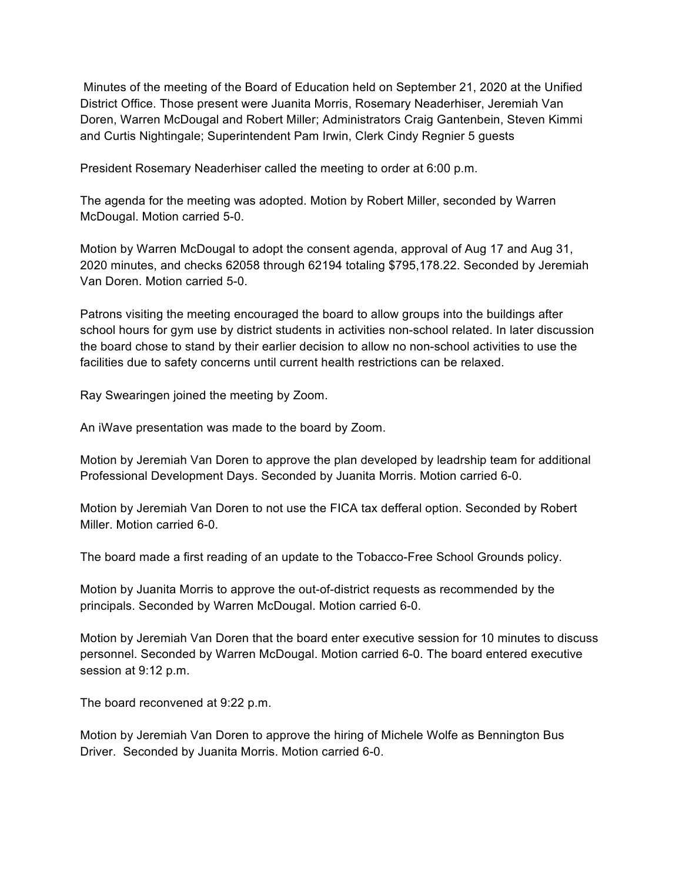Minutes of the meeting of the Board of Education held on September 21, 2020 at the Unified District Office. Those present were Juanita Morris, Rosemary Neaderhiser, Jeremiah Van Doren, Warren McDougal and Robert Miller; Administrators Craig Gantenbein, Steven Kimmi and Curtis Nightingale; Superintendent Pam Irwin, Clerk Cindy Regnier 5 guests

President Rosemary Neaderhiser called the meeting to order at 6:00 p.m.

The agenda for the meeting was adopted. Motion by Robert Miller, seconded by Warren McDougal. Motion carried 5-0.

Motion by Warren McDougal to adopt the consent agenda, approval of Aug 17 and Aug 31, 2020 minutes, and checks 62058 through 62194 totaling \$795,178.22. Seconded by Jeremiah Van Doren. Motion carried 5-0.

Patrons visiting the meeting encouraged the board to allow groups into the buildings after school hours for gym use by district students in activities non-school related. In later discussion the board chose to stand by their earlier decision to allow no non-school activities to use the facilities due to safety concerns until current health restrictions can be relaxed.

Ray Swearingen joined the meeting by Zoom.

An iWave presentation was made to the board by Zoom.

Motion by Jeremiah Van Doren to approve the plan developed by leadrship team for additional Professional Development Days. Seconded by Juanita Morris. Motion carried 6-0.

Motion by Jeremiah Van Doren to not use the FICA tax defferal option. Seconded by Robert Miller. Motion carried 6-0.

The board made a first reading of an update to the Tobacco-Free School Grounds policy.

Motion by Juanita Morris to approve the out-of-district requests as recommended by the principals. Seconded by Warren McDougal. Motion carried 6-0.

Motion by Jeremiah Van Doren that the board enter executive session for 10 minutes to discuss personnel. Seconded by Warren McDougal. Motion carried 6-0. The board entered executive session at 9:12 p.m.

The board reconvened at 9:22 p.m.

Motion by Jeremiah Van Doren to approve the hiring of Michele Wolfe as Bennington Bus Driver. Seconded by Juanita Morris. Motion carried 6-0.